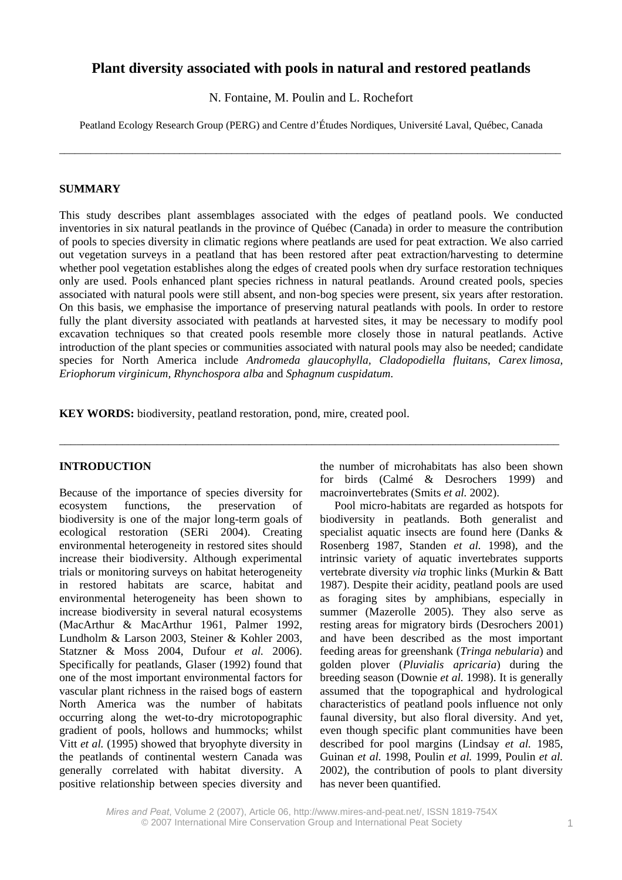# **Plant diversity associated with pools in natural and restored peatlands**

N. Fontaine, M. Poulin and L. Rochefort

Peatland Ecology Research Group (PERG) and Centre d'Études Nordiques, Université Laval, Québec, Canada

\_\_\_\_\_\_\_\_\_\_\_\_\_\_\_\_\_\_\_\_\_\_\_\_\_\_\_\_\_\_\_\_\_\_\_\_\_\_\_\_\_\_\_\_\_\_\_\_\_\_\_\_\_\_\_\_\_\_\_\_\_\_\_\_\_\_\_\_\_\_\_\_\_\_\_\_\_\_\_\_\_\_\_\_\_\_\_\_\_\_\_\_\_\_\_\_

### **SUMMARY**

This study describes plant assemblages associated with the edges of peatland pools. We conducted inventories in six natural peatlands in the province of Québec (Canada) in order to measure the contribution of pools to species diversity in climatic regions where peatlands are used for peat extraction. We also carried out vegetation surveys in a peatland that has been restored after peat extraction/harvesting to determine whether pool vegetation establishes along the edges of created pools when dry surface restoration techniques only are used. Pools enhanced plant species richness in natural peatlands. Around created pools, species associated with natural pools were still absent, and non-bog species were present, six years after restoration. On this basis, we emphasise the importance of preserving natural peatlands with pools. In order to restore fully the plant diversity associated with peatlands at harvested sites, it may be necessary to modify pool excavation techniques so that created pools resemble more closely those in natural peatlands. Active introduction of the plant species or communities associated with natural pools may also be needed; candidate species for North America include *Andromeda glaucophylla, Cladopodiella fluitans*, *Carex limosa, Eriophorum virginicum, Rhynchospora alba* and *Sphagnum cuspidatum*.

\_\_\_\_\_\_\_\_\_\_\_\_\_\_\_\_\_\_\_\_\_\_\_\_\_\_\_\_\_\_\_\_\_\_\_\_\_\_\_\_\_\_\_\_\_\_\_\_\_\_\_\_\_\_\_\_\_\_\_\_\_\_\_\_\_\_\_\_\_\_\_\_\_\_\_\_\_\_\_\_\_\_\_\_\_\_\_

**KEY WORDS:** biodiversity, peatland restoration, pond, mire, created pool.

## **INTRODUCTION**

Because of the importance of species diversity for ecosystem functions, the preservation of biodiversity is one of the major long-term goals of ecological restoration (SERi 2004). Creating environmental heterogeneity in restored sites should increase their biodiversity. Although experimental trials or monitoring surveys on habitat heterogeneity in restored habitats are scarce, habitat and environmental heterogeneity has been shown to increase biodiversity in several natural ecosystems (MacArthur & MacArthur 1961, Palmer 1992, Lundholm & Larson 2003, Steiner & Kohler 2003, Statzner & Moss 2004, Dufour *et al.* 2006). Specifically for peatlands, Glaser (1992) found that one of the most important environmental factors for vascular plant richness in the raised bogs of eastern North America was the number of habitats occurring along the wet-to-dry microtopographic gradient of pools, hollows and hummocks; whilst Vitt *et al.* (1995) showed that bryophyte diversity in the peatlands of continental western Canada was generally correlated with habitat diversity. A positive relationship between species diversity and the number of microhabitats has also been shown for birds (Calmé & Desrochers 1999) and macroinvertebrates (Smits *et al.* 2002).

Pool micro-habitats are regarded as hotspots for biodiversity in peatlands. Both generalist and specialist aquatic insects are found here (Danks & Rosenberg 1987, Standen *et al.* 1998), and the intrinsic variety of aquatic invertebrates supports vertebrate diversity *via* trophic links (Murkin & Batt 1987). Despite their acidity, peatland pools are used as foraging sites by amphibians, especially in summer (Mazerolle 2005). They also serve as resting areas for migratory birds (Desrochers 2001) and have been described as the most important feeding areas for greenshank (*Tringa nebularia*) and golden plover (*Pluvialis apricaria*) during the breeding season (Downie *et al.* 1998). It is generally assumed that the topographical and hydrological characteristics of peatland pools influence not only faunal diversity, but also floral diversity. And yet, even though specific plant communities have been described for pool margins (Lindsay *et al.* 1985, Guinan *et al.* 1998, Poulin *et al.* 1999, Poulin *et al.* 2002), the contribution of pools to plant diversity has never been quantified.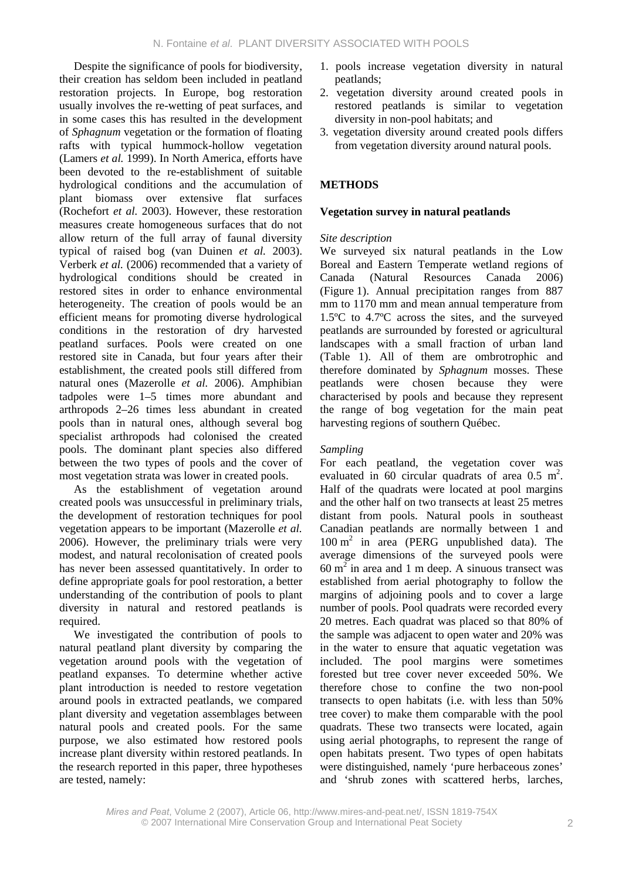Despite the significance of pools for biodiversity, their creation has seldom been included in peatland restoration projects. In Europe, bog restoration usually involves the re-wetting of peat surfaces, and in some cases this has resulted in the development of *Sphagnum* vegetation or the formation of floating rafts with typical hummock-hollow vegetation (Lamers *et al.* 1999). In North America, efforts have been devoted to the re-establishment of suitable hydrological conditions and the accumulation of plant biomass over extensive flat surfaces (Rochefort *et al.* 2003). However, these restoration measures create homogeneous surfaces that do not allow return of the full array of faunal diversity typical of raised bog (van Duinen *et al.* 2003). Verberk *et al.* (2006) recommended that a variety of hydrological conditions should be created in restored sites in order to enhance environmental heterogeneity. The creation of pools would be an efficient means for promoting diverse hydrological conditions in the restoration of dry harvested peatland surfaces. Pools were created on one restored site in Canada, but four years after their establishment, the created pools still differed from natural ones (Mazerolle *et al.* 2006). Amphibian tadpoles were 1–5 times more abundant and arthropods 2–26 times less abundant in created pools than in natural ones, although several bog specialist arthropods had colonised the created pools. The dominant plant species also differed between the two types of pools and the cover of most vegetation strata was lower in created pools.

As the establishment of vegetation around created pools was unsuccessful in preliminary trials, the development of restoration techniques for pool vegetation appears to be important (Mazerolle *et al.* 2006). However, the preliminary trials were very modest, and natural recolonisation of created pools has never been assessed quantitatively. In order to define appropriate goals for pool restoration, a better understanding of the contribution of pools to plant diversity in natural and restored peatlands is required.

We investigated the contribution of pools to natural peatland plant diversity by comparing the vegetation around pools with the vegetation of peatland expanses. To determine whether active plant introduction is needed to restore vegetation around pools in extracted peatlands, we compared plant diversity and vegetation assemblages between natural pools and created pools. For the same purpose, we also estimated how restored pools increase plant diversity within restored peatlands. In the research reported in this paper, three hypotheses are tested, namely:

- 1. pools increase vegetation diversity in natural peatlands;
- 2. vegetation diversity around created pools in restored peatlands is similar to vegetation diversity in non-pool habitats; and
- 3. vegetation diversity around created pools differs from vegetation diversity around natural pools.

# **METHODS**

# **Vegetation survey in natural peatlands**

# *Site description*

We surveyed six natural peatlands in the Low Boreal and Eastern Temperate wetland regions of Canada (Natural Resources Canada 2006) (Figure 1). Annual precipitation ranges from 887 mm to 1170 mm and mean annual temperature from 1.5ºC to 4.7ºC across the sites, and the surveyed peatlands are surrounded by forested or agricultural landscapes with a small fraction of urban land (Table 1). All of them are ombrotrophic and therefore dominated by *Sphagnum* mosses. These peatlands were chosen because they were characterised by pools and because they represent the range of bog vegetation for the main peat harvesting regions of southern Québec.

# *Sampling*

For each peatland, the vegetation cover was evaluated in 60 circular quadrats of area  $0.5 \text{ m}^2$ . Half of the quadrats were located at pool margins and the other half on two transects at least 25 metres distant from pools. Natural pools in southeast Canadian peatlands are normally between 1 and 100 m2 in area (PERG unpublished data). The average dimensions of the surveyed pools were  $60 \text{ m}^2$  in area and 1 m deep. A sinuous transect was established from aerial photography to follow the margins of adjoining pools and to cover a large number of pools. Pool quadrats were recorded every 20 metres. Each quadrat was placed so that 80% of the sample was adjacent to open water and 20% was in the water to ensure that aquatic vegetation was included. The pool margins were sometimes forested but tree cover never exceeded 50%. We therefore chose to confine the two non-pool transects to open habitats (i.e. with less than 50% tree cover) to make them comparable with the pool quadrats. These two transects were located, again using aerial photographs, to represent the range of open habitats present. Two types of open habitats were distinguished, namely 'pure herbaceous zones' and 'shrub zones with scattered herbs, larches,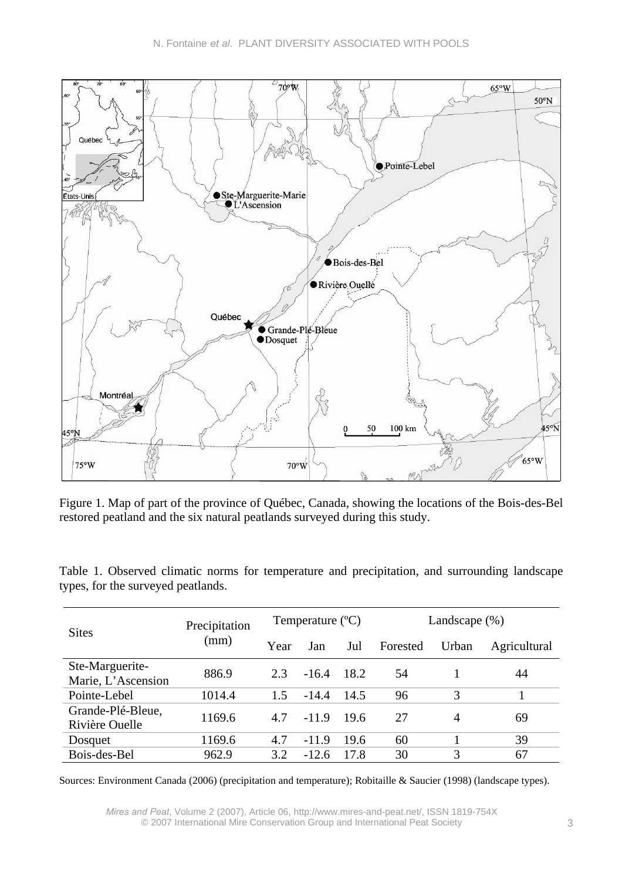

Figure 1. Map of part of the province of Québec, Canada, showing the locations of the Bois-des-Bel restored peatland and the six natural peatlands surveyed during this study.

| <b>Sites</b>                          | Precipitation |      | Temperature $(^{\circ}C)$ |      | Landscape $(\%)$ |       |              |  |  |
|---------------------------------------|---------------|------|---------------------------|------|------------------|-------|--------------|--|--|
|                                       | (mm)          | Year | Jan                       | Jul  | Forested         | Urban | Agricultural |  |  |
| Ste-Marguerite-<br>Marie, L'Ascension | 886.9         | 2.3  | $-16.4$                   | 18.2 | 54               |       | 44           |  |  |
| Pointe-Lebel                          | 1014.4        | 1.5  | $-14.4$                   | 14.5 | 96               | 3     |              |  |  |
| Grande-Plé-Bleue,<br>Rivière Quelle   | 1169.6        | 4.7  | $-11.9$                   | 19.6 | 27               | 4     | 69           |  |  |
| Dosquet                               | 1169.6        | 4.7  | $-11.9$                   | 19.6 | 60               |       | 39           |  |  |
| Bois-des-Bel                          | 962.9         | 3.2  | $-12.6$                   | 17.8 | 30               |       | 67           |  |  |

Table 1. Observed climatic norms for temperature and precipitation, and surrounding landscape types, for the surveyed peatlands.

Sources: Environment Canada (2006) (precipitation and temperature); Robitaille & Saucier (1998) (landscape types).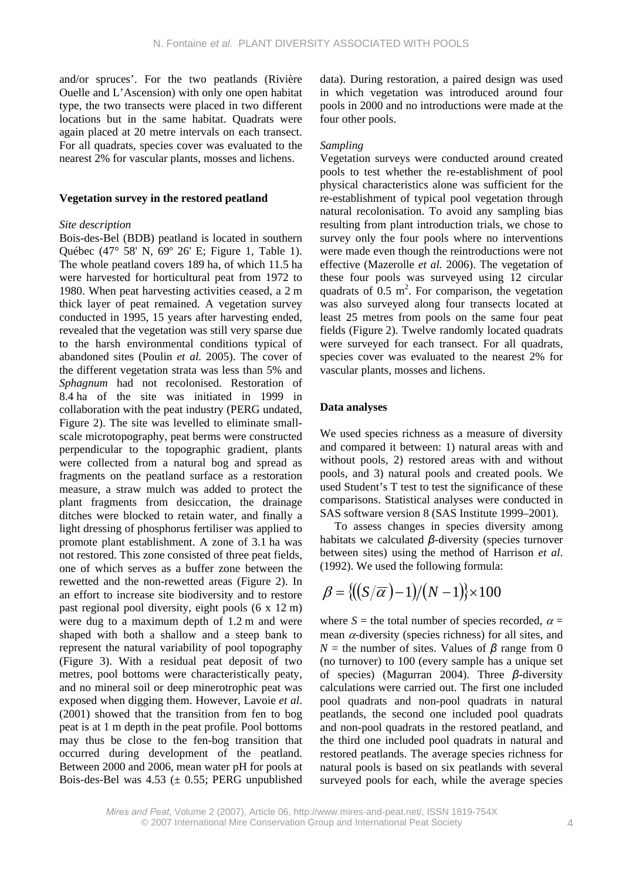and/or spruces'. For the two peatlands (Rivière Ouelle and L'Ascension) with only one open habitat type, the two transects were placed in two different locations but in the same habitat. Quadrats were again placed at 20 metre intervals on each transect. For all quadrats, species cover was evaluated to the nearest 2% for vascular plants, mosses and lichens.

#### **Vegetation survey in the restored peatland**

#### *Site description*

Bois-des-Bel (BDB) peatland is located in southern Québec (47° 58' N, 69º 26' E; Figure 1, Table 1). The whole peatland covers 189 ha, of which 11.5 ha were harvested for horticultural peat from 1972 to 1980. When peat harvesting activities ceased, a 2 m thick layer of peat remained. A vegetation survey conducted in 1995, 15 years after harvesting ended, revealed that the vegetation was still very sparse due to the harsh environmental conditions typical of abandoned sites (Poulin *et al.* 2005). The cover of the different vegetation strata was less than 5% and *Sphagnum* had not recolonised. Restoration of 8.4 ha of the site was initiated in 1999 in collaboration with the peat industry (PERG undated, Figure 2). The site was levelled to eliminate smallscale microtopography, peat berms were constructed perpendicular to the topographic gradient, plants were collected from a natural bog and spread as fragments on the peatland surface as a restoration measure, a straw mulch was added to protect the plant fragments from desiccation, the drainage ditches were blocked to retain water, and finally a light dressing of phosphorus fertiliser was applied to promote plant establishment. A zone of 3.1 ha was not restored. This zone consisted of three peat fields, one of which serves as a buffer zone between the rewetted and the non-rewetted areas (Figure 2). In an effort to increase site biodiversity and to restore past regional pool diversity, eight pools (6 x 12 m) were dug to a maximum depth of 1.2 m and were shaped with both a shallow and a steep bank to represent the natural variability of pool topography (Figure 3). With a residual peat deposit of two metres, pool bottoms were characteristically peaty, and no mineral soil or deep minerotrophic peat was exposed when digging them. However, Lavoie *et al*. (2001) showed that the transition from fen to bog peat is at 1 m depth in the peat profile. Pool bottoms may thus be close to the fen-bog transition that occurred during development of the peatland. Between 2000 and 2006, mean water pH for pools at Bois-des-Bel was  $4.53 \ (\pm 0.55)$ ; PERG unpublished data). During restoration, a paired design was used in which vegetation was introduced around four pools in 2000 and no introductions were made at the four other pools.

#### *Sampling*

Vegetation surveys were conducted around created pools to test whether the re-establishment of pool physical characteristics alone was sufficient for the re-establishment of typical pool vegetation through natural recolonisation. To avoid any sampling bias resulting from plant introduction trials, we chose to survey only the four pools where no interventions were made even though the reintroductions were not effective (Mazerolle *et al.* 2006). The vegetation of these four pools was surveyed using 12 circular quadrats of  $0.5 \text{ m}^2$ . For comparison, the vegetation was also surveyed along four transects located at least 25 metres from pools on the same four peat fields (Figure 2). Twelve randomly located quadrats were surveyed for each transect. For all quadrats, species cover was evaluated to the nearest 2% for vascular plants, mosses and lichens.

### **Data analyses**

We used species richness as a measure of diversity and compared it between: 1) natural areas with and without pools, 2) restored areas with and without pools, and 3) natural pools and created pools. We used Student's T test to test the significance of these comparisons. Statistical analyses were conducted in SAS software version 8 (SAS Institute 1999–2001).

To assess changes in species diversity among habitats we calculated *β*-diversity (species turnover between sites) using the method of Harrison *et al*. (1992). We used the following formula:

$$
\beta = \{ ((S/\overline{\alpha})-1)/(N-1) \} \times 100
$$

where  $S =$  the total number of species recorded,  $\alpha =$ mean  $\alpha$ -diversity (species richness) for all sites, and  $N =$  the number of sites. Values of  $\beta$  range from 0 (no turnover) to 100 (every sample has a unique set of species) (Magurran 2004). Three *β*-diversity calculations were carried out. The first one included pool quadrats and non-pool quadrats in natural peatlands, the second one included pool quadrats and non-pool quadrats in the restored peatland, and the third one included pool quadrats in natural and restored peatlands. The average species richness for natural pools is based on six peatlands with several surveyed pools for each, while the average species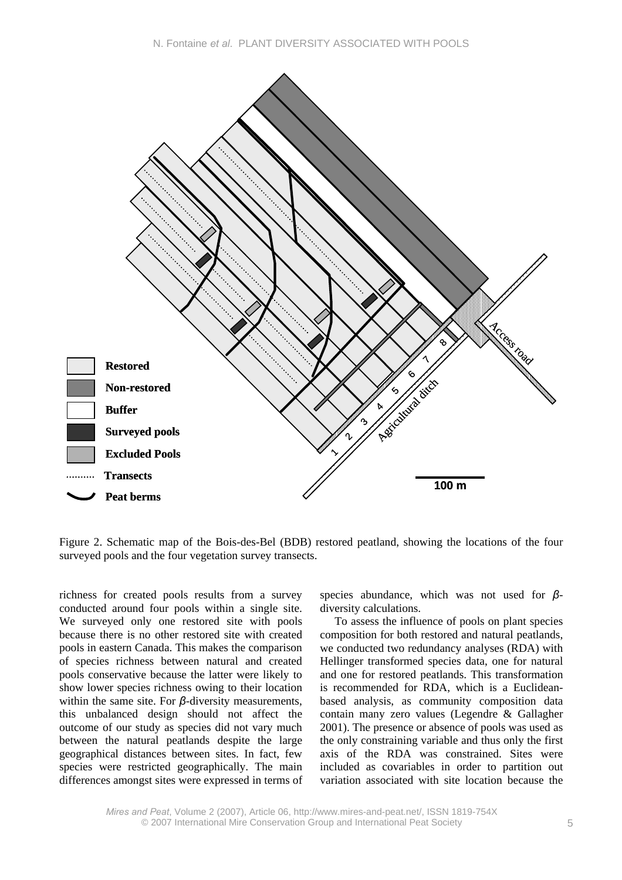

Figure 2. Schematic map of the Bois-des-Bel (BDB) restored peatland, showing the locations of the four surveyed pools and the four vegetation survey transects.

richness for created pools results from a survey conducted around four pools within a single site. We surveyed only one restored site with pools because there is no other restored site with created pools in eastern Canada. This makes the comparison of species richness between natural and created pools conservative because the latter were likely to show lower species richness owing to their location within the same site. For *β*-diversity measurements, this unbalanced design should not affect the outcome of our study as species did not vary much between the natural peatlands despite the large geographical distances between sites. In fact, few species were restricted geographically. The main differences amongst sites were expressed in terms of species abundance, which was not used for *β*diversity calculations.

To assess the influence of pools on plant species composition for both restored and natural peatlands, we conducted two redundancy analyses (RDA) with Hellinger transformed species data, one for natural and one for restored peatlands. This transformation is recommended for RDA, which is a Euclideanbased analysis, as community composition data contain many zero values (Legendre & Gallagher 2001). The presence or absence of pools was used as the only constraining variable and thus only the first axis of the RDA was constrained. Sites were included as covariables in order to partition out variation associated with site location because the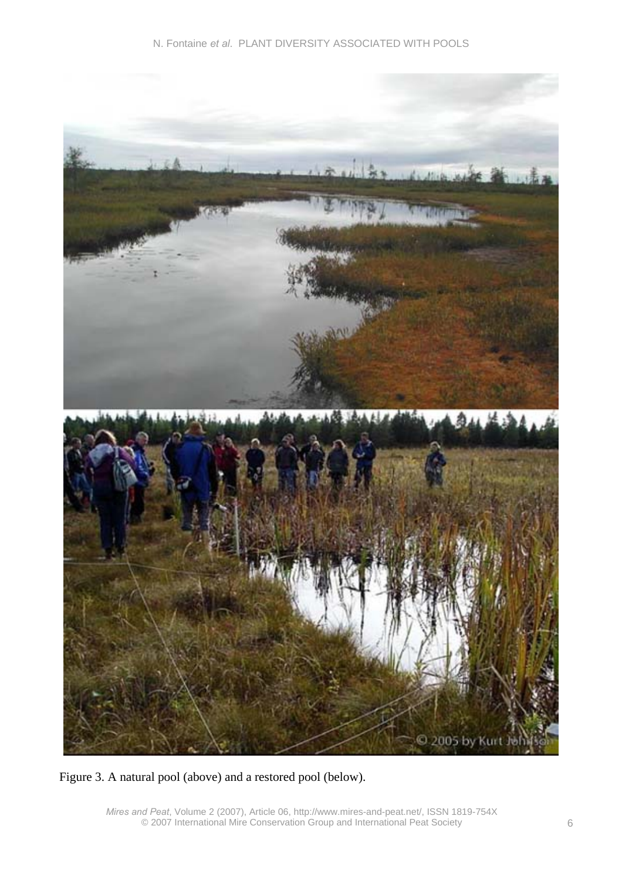

Figure 3. A natural pool (above) and a restored pool (below).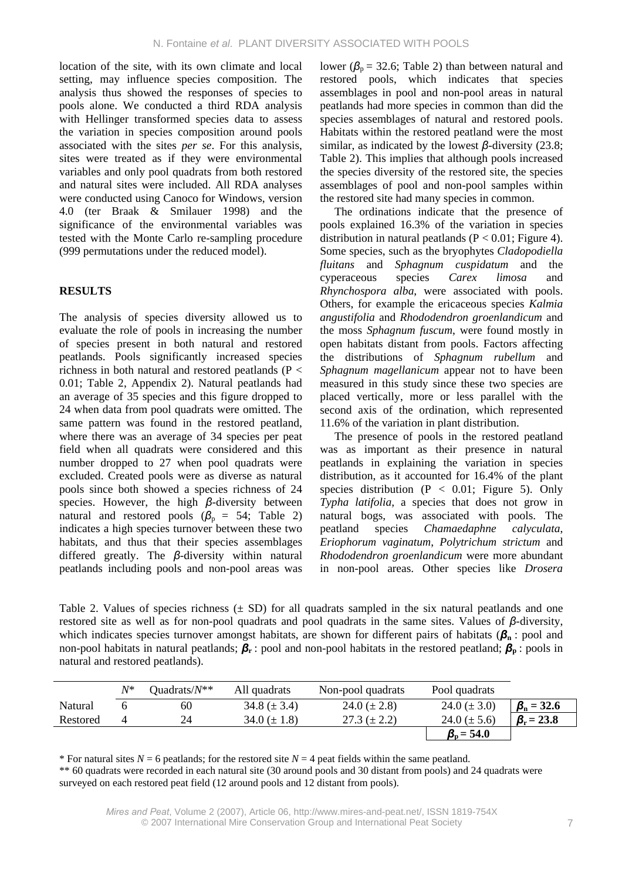location of the site, with its own climate and local setting, may influence species composition. The analysis thus showed the responses of species to pools alone. We conducted a third RDA analysis with Hellinger transformed species data to assess the variation in species composition around pools associated with the sites *per se*. For this analysis, sites were treated as if they were environmental variables and only pool quadrats from both restored and natural sites were included. All RDA analyses were conducted using Canoco for Windows, version 4.0 (ter Braak & Smilauer 1998) and the significance of the environmental variables was tested with the Monte Carlo re-sampling procedure (999 permutations under the reduced model).

## **RESULTS**

The analysis of species diversity allowed us to evaluate the role of pools in increasing the number of species present in both natural and restored peatlands. Pools significantly increased species richness in both natural and restored peatlands ( $P <$ 0.01; Table 2, Appendix 2). Natural peatlands had an average of 35 species and this figure dropped to 24 when data from pool quadrats were omitted. The same pattern was found in the restored peatland, where there was an average of 34 species per peat field when all quadrats were considered and this number dropped to 27 when pool quadrats were excluded. Created pools were as diverse as natural pools since both showed a species richness of 24 species. However, the high *β*-diversity between natural and restored pools  $(\beta_p = 54;$  Table 2) indicates a high species turnover between these two habitats, and thus that their species assemblages differed greatly. The *β*-diversity within natural peatlands including pools and non-pool areas was

lower ( $\beta_p$  = 32.6; Table 2) than between natural and restored pools, which indicates that species assemblages in pool and non-pool areas in natural peatlands had more species in common than did the species assemblages of natural and restored pools. Habitats within the restored peatland were the most similar, as indicated by the lowest *β*-diversity (23.8; Table 2). This implies that although pools increased the species diversity of the restored site, the species assemblages of pool and non-pool samples within the restored site had many species in common.

The ordinations indicate that the presence of pools explained 16.3% of the variation in species distribution in natural peatlands ( $P < 0.01$ ; Figure 4). Some species, such as the bryophytes *Cladopodiella fluitans* and *Sphagnum cuspidatum* and the cyperaceous species *Carex limosa* and *Rhynchospora alba*, were associated with pools. Others, for example the ericaceous species *Kalmia angustifolia* and *Rhododendron groenlandicum* and the moss *Sphagnum fuscum*, were found mostly in open habitats distant from pools. Factors affecting the distributions of *Sphagnum rubellum* and *Sphagnum magellanicum* appear not to have been measured in this study since these two species are placed vertically, more or less parallel with the second axis of the ordination, which represented 11.6% of the variation in plant distribution.

The presence of pools in the restored peatland was as important as their presence in natural peatlands in explaining the variation in species distribution, as it accounted for 16.4% of the plant species distribution ( $P < 0.01$ ; Figure 5). Only *Typha latifolia,* a species that does not grow in natural bogs, was associated with pools. The peatland species *Chamaedaphne calyculata*, *Eriophorum vaginatum*, *Polytrichum strictum* and *Rhododendron groenlandicum* were more abundant in non-pool areas. Other species like *Drosera*

Table 2. Values of species richness  $(\pm SD)$  for all quadrats sampled in the six natural peatlands and one restored site as well as for non-pool quadrats and pool quadrats in the same sites. Values of *β*-diversity, which indicates species turnover amongst habitats, are shown for different pairs of habitats (**β**<sub>n</sub>: pool and non-pool habitats in natural peatlands; *β***r** : pool and non-pool habitats in the restored peatland; *β***p** : pools in natural and restored peatlands).

|          | $N^*$ | Ouadrats/ $N^{\ast\ast}$ | All quadrats     | Non-pool quadrats | Pool quadrats          |                        |
|----------|-------|--------------------------|------------------|-------------------|------------------------|------------------------|
| Natural  |       | 60                       | 34.8 $(\pm 3.4)$ | 24.0 $(\pm 2.8)$  | 24.0 $(\pm 3.0)$       | $\beta_{\rm n} = 32.6$ |
| Restored |       | 24                       | 34.0 $(\pm 1.8)$ | $27.3 (\pm 2.2)$  | 24.0 ( $\pm$ 5.6)      | $\beta_{\rm r} = 23.8$ |
|          |       |                          |                  |                   | $\beta_{\rm n} = 54.0$ |                        |

\* For natural sites  $N = 6$  peatlands; for the restored site  $N = 4$  peat fields within the same peatland.

\*\* 60 quadrats were recorded in each natural site (30 around pools and 30 distant from pools) and 24 quadrats were surveyed on each restored peat field (12 around pools and 12 distant from pools).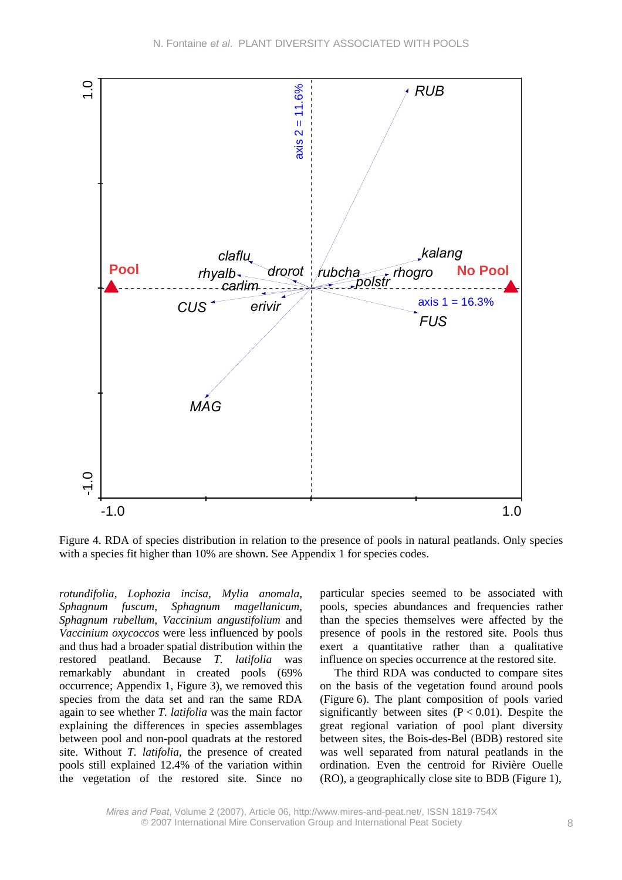

Figure 4. RDA of species distribution in relation to the presence of pools in natural peatlands. Only species with a species fit higher than 10% are shown. See Appendix 1 for species codes.

*rotundifolia*, *Lophozia incisa, Mylia anomala, Sphagnum fuscum*, *Sphagnum magellanicum*, *Sphagnum rubellum, Vaccinium angustifolium* and *Vaccinium oxycoccos* were less influenced by pools and thus had a broader spatial distribution within the restored peatland. Because *T. latifolia* was remarkably abundant in created pools (69% occurrence; Appendix 1, Figure 3), we removed this species from the data set and ran the same RDA again to see whether *T. latifolia* was the main factor explaining the differences in species assemblages between pool and non-pool quadrats at the restored site. Without *T. latifolia*, the presence of created pools still explained 12.4% of the variation within the vegetation of the restored site. Since no particular species seemed to be associated with pools, species abundances and frequencies rather than the species themselves were affected by the presence of pools in the restored site. Pools thus exert a quantitative rather than a qualitative influence on species occurrence at the restored site.

The third RDA was conducted to compare sites on the basis of the vegetation found around pools (Figure 6). The plant composition of pools varied significantly between sites  $(P < 0.01)$ . Despite the great regional variation of pool plant diversity between sites, the Bois-des-Bel (BDB) restored site was well separated from natural peatlands in the ordination. Even the centroid for Rivière Ouelle (RO), a geographically close site to BDB (Figure 1),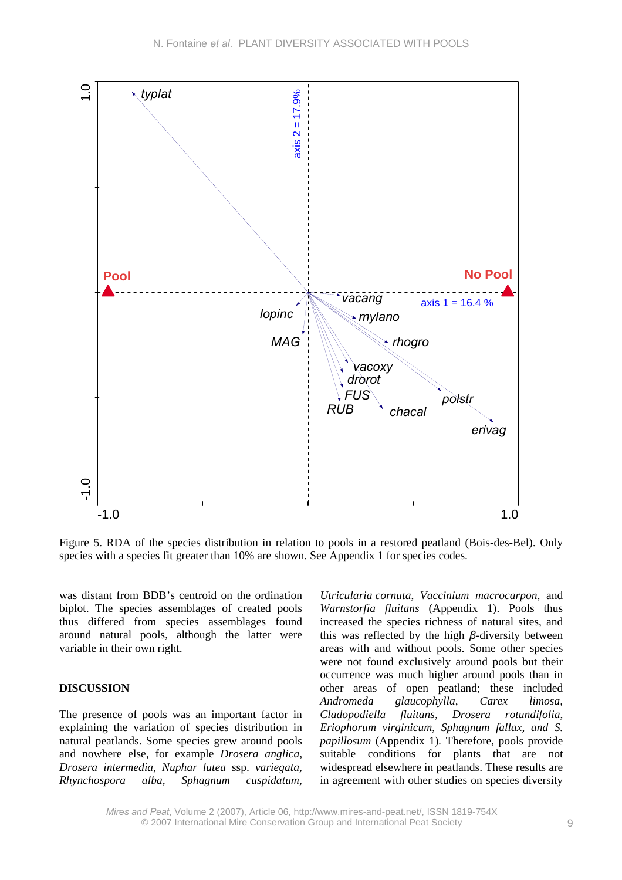

Figure 5. RDA of the species distribution in relation to pools in a restored peatland (Bois-des-Bel). Only species with a species fit greater than 10% are shown. See Appendix 1 for species codes.

was distant from BDB's centroid on the ordination biplot. The species assemblages of created pools thus differed from species assemblages found around natural pools, although the latter were variable in their own right.

### **DISCUSSION**

The presence of pools was an important factor in explaining the variation of species distribution in natural peatlands. Some species grew around pools and nowhere else, for example *Drosera anglica, Drosera intermedia, Nuphar lutea* ssp. *variegata, Rhynchospora alba, Sphagnum cuspidatum*,

*Utricularia cornuta*, *Vaccinium macrocarpon,* and *Warnstorfia fluitans* (Appendix 1). Pools thus increased the species richness of natural sites, and this was reflected by the high *β*-diversity between areas with and without pools. Some other species were not found exclusively around pools but their occurrence was much higher around pools than in other areas of open peatland; these included *Andromeda glaucophylla*, *Carex limosa, Cladopodiella fluitans, Drosera rotundifolia*, *Eriophorum virginicum*, *Sphagnum fallax, and S. papillosum* (Appendix 1)*.* Therefore, pools provide suitable conditions for plants that are not widespread elsewhere in peatlands. These results are in agreement with other studies on species diversity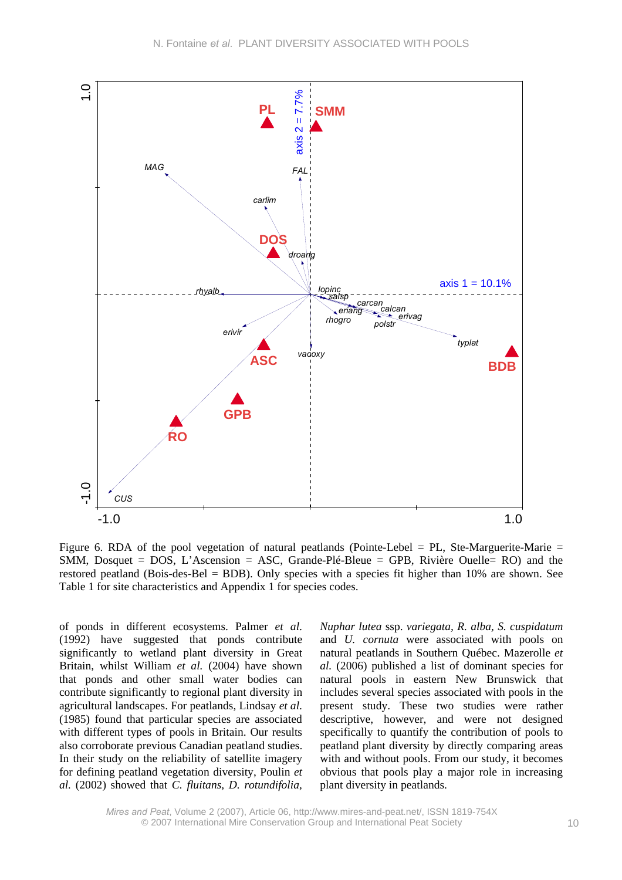

Figure 6. RDA of the pool vegetation of natural peatlands (Pointe-Lebel  $=$  PL, Ste-Marguerite-Marie  $=$ SMM, Dosquet = DOS, L'Ascension = ASC, Grande-Plé-Bleue = GPB, Rivière Ouelle= RO) and the restored peatland (Bois-des-Bel = BDB). Only species with a species fit higher than 10% are shown. See Table 1 for site characteristics and Appendix 1 for species codes.

of ponds in different ecosystems. Palmer *et al*. (1992) have suggested that ponds contribute significantly to wetland plant diversity in Great Britain, whilst William *et al.* (2004) have shown that ponds and other small water bodies can contribute significantly to regional plant diversity in agricultural landscapes. For peatlands, Lindsay *et al*. (1985) found that particular species are associated with different types of pools in Britain. Our results also corroborate previous Canadian peatland studies. In their study on the reliability of satellite imagery for defining peatland vegetation diversity, Poulin *et al.* (2002) showed that *C. fluitans, D. rotundifolia,* 

*Nuphar lutea* ssp. *variegata, R. alba, S. cuspidatum* and *U. cornuta* were associated with pools on natural peatlands in Southern Québec. Mazerolle *et al.* (2006) published a list of dominant species for natural pools in eastern New Brunswick that includes several species associated with pools in the present study. These two studies were rather descriptive, however, and were not designed specifically to quantify the contribution of pools to peatland plant diversity by directly comparing areas with and without pools. From our study, it becomes obvious that pools play a major role in increasing plant diversity in peatlands.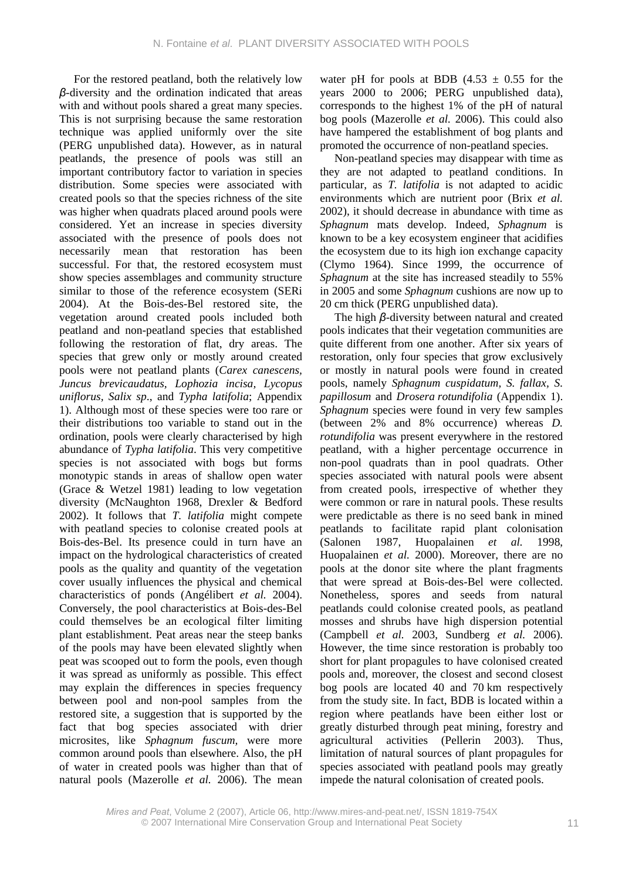For the restored peatland, both the relatively low *β*-diversity and the ordination indicated that areas with and without pools shared a great many species. This is not surprising because the same restoration technique was applied uniformly over the site (PERG unpublished data). However, as in natural peatlands, the presence of pools was still an important contributory factor to variation in species distribution. Some species were associated with created pools so that the species richness of the site was higher when quadrats placed around pools were considered. Yet an increase in species diversity associated with the presence of pools does not necessarily mean that restoration has been successful. For that, the restored ecosystem must show species assemblages and community structure similar to those of the reference ecosystem (SERi 2004). At the Bois-des-Bel restored site, the vegetation around created pools included both peatland and non-peatland species that established following the restoration of flat, dry areas. The species that grew only or mostly around created pools were not peatland plants (*Carex canescens, Juncus brevicaudatus, Lophozia incisa, Lycopus uniflorus, Salix sp*., and *Typha latifolia*; Appendix 1). Although most of these species were too rare or their distributions too variable to stand out in the ordination, pools were clearly characterised by high abundance of *Typha latifolia*. This very competitive species is not associated with bogs but forms monotypic stands in areas of shallow open water (Grace & Wetzel 1981) leading to low vegetation diversity (McNaughton 1968, Drexler & Bedford 2002). It follows that *T. latifolia* might compete with peatland species to colonise created pools at Bois-des-Bel. Its presence could in turn have an impact on the hydrological characteristics of created pools as the quality and quantity of the vegetation cover usually influences the physical and chemical characteristics of ponds (Angélibert *et al.* 2004). Conversely, the pool characteristics at Bois-des-Bel could themselves be an ecological filter limiting plant establishment. Peat areas near the steep banks of the pools may have been elevated slightly when peat was scooped out to form the pools, even though it was spread as uniformly as possible. This effect may explain the differences in species frequency between pool and non-pool samples from the restored site, a suggestion that is supported by the fact that bog species associated with drier microsites, like *Sphagnum fuscum,* were more common around pools than elsewhere. Also, the pH of water in created pools was higher than that of natural pools (Mazerolle *et al.* 2006). The mean

water pH for pools at BDB  $(4.53 \pm 0.55)$  for the years 2000 to 2006; PERG unpublished data), corresponds to the highest 1% of the pH of natural bog pools (Mazerolle *et al.* 2006). This could also have hampered the establishment of bog plants and promoted the occurrence of non-peatland species.

Non-peatland species may disappear with time as they are not adapted to peatland conditions. In particular, as *T. latifolia* is not adapted to acidic environments which are nutrient poor (Brix *et al.* 2002), it should decrease in abundance with time as *Sphagnum* mats develop. Indeed, *Sphagnum* is known to be a key ecosystem engineer that acidifies the ecosystem due to its high ion exchange capacity (Clymo 1964). Since 1999, the occurrence of *Sphagnum* at the site has increased steadily to 55% in 2005 and some *Sphagnum* cushions are now up to 20 cm thick (PERG unpublished data).

The high *β*-diversity between natural and created pools indicates that their vegetation communities are quite different from one another. After six years of restoration, only four species that grow exclusively or mostly in natural pools were found in created pools, namely *Sphagnum cuspidatum, S. fallax, S. papillosum* and *Drosera rotundifolia* (Appendix 1). *Sphagnum* species were found in very few samples (between 2% and 8% occurrence) whereas *D. rotundifolia* was present everywhere in the restored peatland, with a higher percentage occurrence in non-pool quadrats than in pool quadrats. Other species associated with natural pools were absent from created pools, irrespective of whether they were common or rare in natural pools. These results were predictable as there is no seed bank in mined peatlands to facilitate rapid plant colonisation (Salonen 1987, Huopalainen *et al.* 1998, Huopalainen *et al.* 2000). Moreover, there are no pools at the donor site where the plant fragments that were spread at Bois-des-Bel were collected. Nonetheless, spores and seeds from natural peatlands could colonise created pools, as peatland mosses and shrubs have high dispersion potential (Campbell *et al.* 2003, Sundberg *et al.* 2006). However, the time since restoration is probably too short for plant propagules to have colonised created pools and, moreover, the closest and second closest bog pools are located 40 and 70 km respectively from the study site. In fact, BDB is located within a region where peatlands have been either lost or greatly disturbed through peat mining, forestry and agricultural activities (Pellerin 2003). Thus, limitation of natural sources of plant propagules for species associated with peatland pools may greatly impede the natural colonisation of created pools.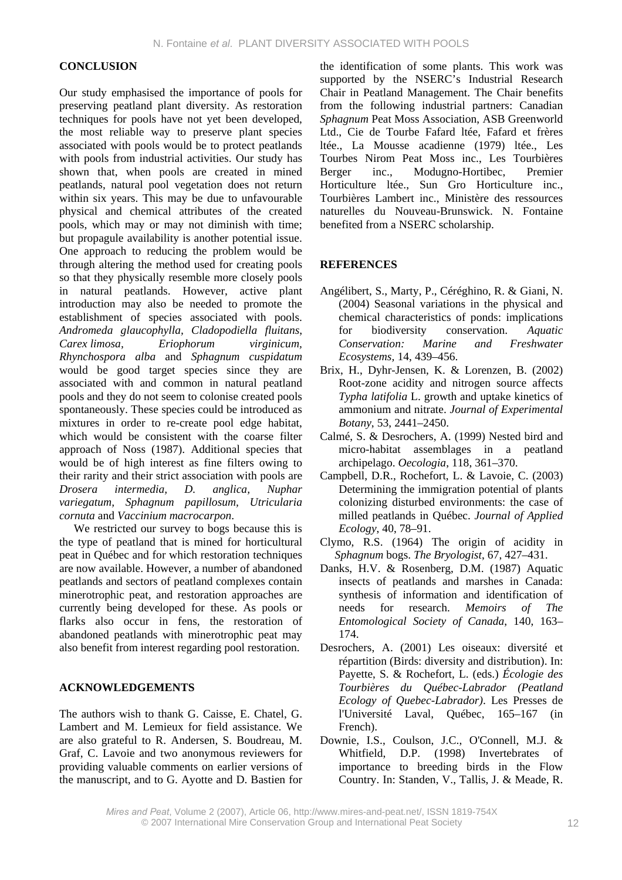## **CONCLUSION**

Our study emphasised the importance of pools for preserving peatland plant diversity. As restoration techniques for pools have not yet been developed, the most reliable way to preserve plant species associated with pools would be to protect peatlands with pools from industrial activities. Our study has shown that, when pools are created in mined peatlands, natural pool vegetation does not return within six years. This may be due to unfavourable physical and chemical attributes of the created pools, which may or may not diminish with time; but propagule availability is another potential issue. One approach to reducing the problem would be through altering the method used for creating pools so that they physically resemble more closely pools in natural peatlands. However, active plant introduction may also be needed to promote the establishment of species associated with pools. *Andromeda glaucophylla, Cladopodiella fluitans*, *Carex limosa, Eriophorum virginicum, Rhynchospora alba* and *Sphagnum cuspidatum* would be good target species since they are associated with and common in natural peatland pools and they do not seem to colonise created pools spontaneously. These species could be introduced as mixtures in order to re-create pool edge habitat, which would be consistent with the coarse filter approach of Noss (1987). Additional species that would be of high interest as fine filters owing to their rarity and their strict association with pools are *Drosera intermedia, D. anglica, Nuphar variegatum, Sphagnum papillosum, Utricularia cornuta* and *Vaccinium macrocarpon*.

We restricted our survey to bogs because this is the type of peatland that is mined for horticultural peat in Québec and for which restoration techniques are now available. However, a number of abandoned peatlands and sectors of peatland complexes contain minerotrophic peat, and restoration approaches are currently being developed for these. As pools or flarks also occur in fens, the restoration of abandoned peatlands with minerotrophic peat may also benefit from interest regarding pool restoration.

## **ACKNOWLEDGEMENTS**

The authors wish to thank G. Caisse, E. Chatel, G. Lambert and M. Lemieux for field assistance. We are also grateful to R. Andersen, S. Boudreau, M. Graf, C. Lavoie and two anonymous reviewers for providing valuable comments on earlier versions of the manuscript, and to G. Ayotte and D. Bastien for the identification of some plants. This work was supported by the NSERC's Industrial Research Chair in Peatland Management. The Chair benefits from the following industrial partners: Canadian *Sphagnum* Peat Moss Association, ASB Greenworld Ltd., Cie de Tourbe Fafard ltée, Fafard et frères ltée., La Mousse acadienne (1979) ltée., Les Tourbes Nirom Peat Moss inc., Les Tourbières Berger inc., Modugno-Hortibec, Premier Horticulture ltée., Sun Gro Horticulture inc., Tourbières Lambert inc., Ministère des ressources naturelles du Nouveau-Brunswick. N. Fontaine benefited from a NSERC scholarship.

### **REFERENCES**

- Angélibert, S., Marty, P., Céréghino, R. & Giani, N. (2004) Seasonal variations in the physical and chemical characteristics of ponds: implications for biodiversity conservation. *Aquatic Conservation: Marine and Freshwater Ecosystems,* 14, 439–456.
- Brix, H., Dyhr-Jensen, K. & Lorenzen, B. (2002) Root-zone acidity and nitrogen source affects *Typha latifolia* L. growth and uptake kinetics of ammonium and nitrate. *Journal of Experimental Botany*, 53, 2441–2450.
- Calmé, S. & Desrochers, A. (1999) Nested bird and micro-habitat assemblages in a peatland archipelago. *Oecologia*, 118, 361–370.
- Campbell, D.R., Rochefort, L. & Lavoie, C. (2003) Determining the immigration potential of plants colonizing disturbed environments: the case of milled peatlands in Québec. *Journal of Applied Ecology*, 40, 78–91.
- Clymo, R.S. (1964) The origin of acidity in *Sphagnum* bogs. *The Bryologist*, 67, 427–431.
- Danks, H.V. & Rosenberg, D.M. (1987) Aquatic insects of peatlands and marshes in Canada: synthesis of information and identification of needs for research. *Memoirs of The Entomological Society of Canada*, 140, 163– 174.
- Desrochers, A. (2001) Les oiseaux: diversité et répartition (Birds: diversity and distribution). In: Payette, S. & Rochefort, L. (eds.) *Écologie des Tourbières du Québec-Labrador (Peatland Ecology of Quebec-Labrador)*. Les Presses de l'Université Laval, Québec, 165–167 (in French).
- Downie, I.S., Coulson, J.C., O'Connell, M.J. & Whitfield, D.P. (1998) Invertebrates of importance to breeding birds in the Flow Country. In: Standen, V., Tallis, J. & Meade, R.

*Mires and Peat*, Volume 2 (2007), Article 06, http://www.mires-and-peat.net/, ISSN 1819-754X © 2007 International Mire Conservation Group and International Peat Society 12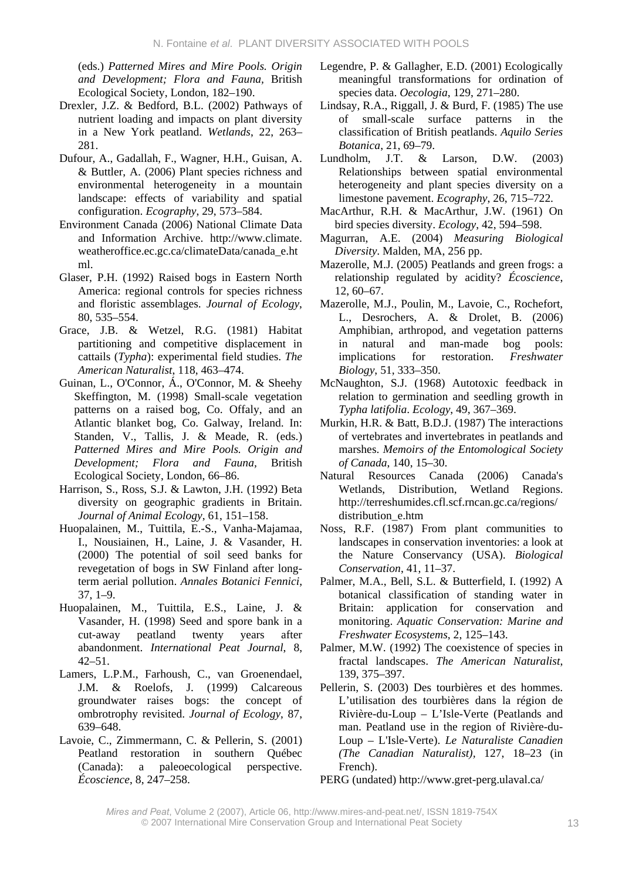(eds.) *Patterned Mires and Mire Pools. Origin and Development; Flora and Fauna,* British Ecological Society, London, 182–190.

- Drexler, J.Z. & Bedford, B.L. (2002) Pathways of nutrient loading and impacts on plant diversity in a New York peatland. *Wetlands*, 22, 263– 281.
- Dufour, A., Gadallah, F., Wagner, H.H., Guisan, A. & Buttler, A. (2006) Plant species richness and environmental heterogeneity in a mountain landscape: effects of variability and spatial configuration. *Ecography*, 29, 573–584.
- Environment Canada (2006) National Climate Data and Information Archive. http://www.climate. weatheroffice.ec.gc.ca/climateData/canada\_e.ht ml.
- Glaser, P.H. (1992) Raised bogs in Eastern North America: regional controls for species richness and floristic assemblages. *Journal of Ecology*, 80, 535–554.
- Grace, J.B. & Wetzel, R.G. (1981) Habitat partitioning and competitive displacement in cattails (*Typha*): experimental field studies. *The American Naturalist*, 118, 463–474.
- Guinan, L., O'Connor, Á., O'Connor, M. & Sheehy Skeffington, M. (1998) Small-scale vegetation patterns on a raised bog, Co. Offaly, and an Atlantic blanket bog, Co. Galway, Ireland. In: Standen, V., Tallis, J. & Meade, R. (eds.) *Patterned Mires and Mire Pools. Origin and Development; Flora and Fauna,* British Ecological Society, London, 66–86.
- Harrison, S., Ross, S.J. & Lawton, J.H. (1992) Beta diversity on geographic gradients in Britain. *Journal of Animal Ecology*, 61, 151–158.
- Huopalainen, M., Tuittila, E.-S., Vanha-Majamaa, I., Nousiainen, H., Laine, J. & Vasander, H. (2000) The potential of soil seed banks for revegetation of bogs in SW Finland after longterm aerial pollution. *Annales Botanici Fennici*, 37, 1–9.
- Huopalainen, M., Tuittila, E.S., Laine, J. & Vasander, H. (1998) Seed and spore bank in a cut-away peatland twenty years after abandonment. *International Peat Journal*, 8,  $42 - 51$
- Lamers, L.P.M., Farhoush, C., van Groenendael, J.M. & Roelofs, J. (1999) Calcareous groundwater raises bogs: the concept of ombrotrophy revisited. *Journal of Ecology*, 87, 639–648.
- Lavoie, C., Zimmermann, C. & Pellerin, S. (2001) Peatland restoration in southern Québec (Canada): a paleoecological perspective. *Écoscience*, 8, 247–258.
- Legendre, P. & Gallagher, E.D. (2001) Ecologically meaningful transformations for ordination of species data. *Oecologia*, 129, 271–280.
- Lindsay, R.A., Riggall, J. & Burd, F. (1985) The use of small-scale surface patterns in the classification of British peatlands. *Aquilo Series Botanica*, 21, 69–79.
- Lundholm, J.T. & Larson, D.W. (2003) Relationships between spatial environmental heterogeneity and plant species diversity on a limestone pavement. *Ecography*, 26, 715–722.
- MacArthur, R.H. & MacArthur, J.W. (1961) On bird species diversity. *Ecology*, 42, 594–598.
- Magurran, A.E. (2004) *Measuring Biological Diversity*. Malden, MA, 256 pp.
- Mazerolle, M.J. (2005) Peatlands and green frogs: a relationship regulated by acidity? *Écoscience*, 12, 60–67.
- Mazerolle, M.J., Poulin, M., Lavoie, C., Rochefort, L., Desrochers, A. & Drolet, B. (2006) Amphibian, arthropod, and vegetation patterns in natural and man-made bog pools: implications for restoration. *Freshwater Biology*, 51, 333–350.
- McNaughton, S.J. (1968) Autotoxic feedback in relation to germination and seedling growth in *Typha latifolia*. *Ecology*, 49, 367–369.
- Murkin, H.R. & Batt, B.D.J. (1987) The interactions of vertebrates and invertebrates in peatlands and marshes. *Memoirs of the Entomological Society of Canada*, 140, 15–30.
- Natural Resources Canada (2006) Canada's Wetlands, Distribution, Wetland Regions. http://terreshumides.cfl.scf.rncan.gc.ca/regions/ distribution\_e.htm
- Noss, R.F. (1987) From plant communities to landscapes in conservation inventories: a look at the Nature Conservancy (USA). *Biological Conservation*, 41, 11–37.
- Palmer, M.A., Bell, S.L. & Butterfield, I. (1992) A botanical classification of standing water in Britain: application for conservation and monitoring. *Aquatic Conservation: Marine and Freshwater Ecosystems*, 2, 125–143.
- Palmer, M.W. (1992) The coexistence of species in fractal landscapes. *The American Naturalist*, 139, 375–397.
- Pellerin, S. (2003) Des tourbières et des hommes. L'utilisation des tourbières dans la région de Rivière-du-Loup – L'Isle-Verte (Peatlands and man. Peatland use in the region of Rivière-du-Loup – L'Isle-Verte). *Le Naturaliste Canadien (The Canadian Naturalist),* 127, 18–23 (in French).
- PERG (undated) http://www.gret-perg.ulaval.ca/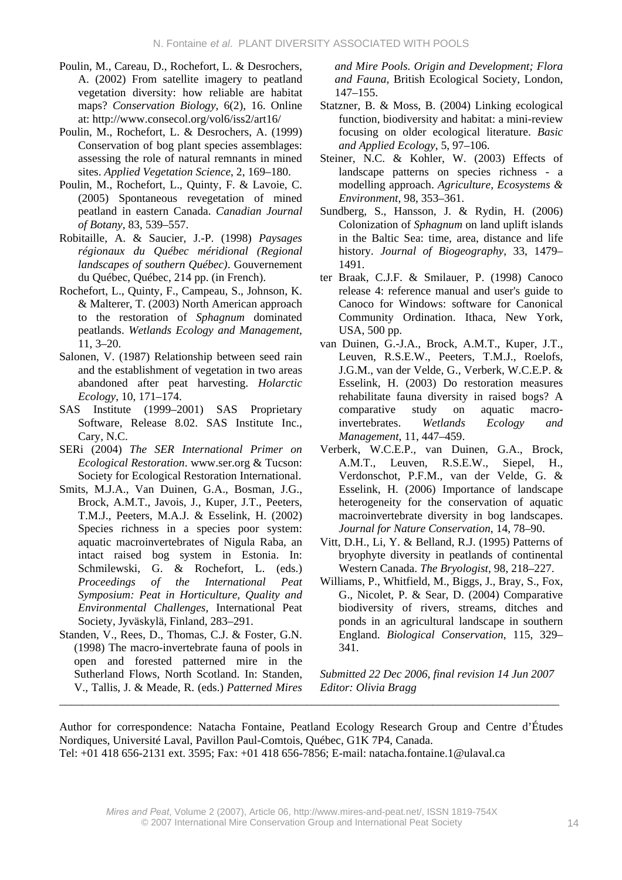- Poulin, M., Careau, D., Rochefort, L. & Desrochers, A. (2002) From satellite imagery to peatland vegetation diversity: how reliable are habitat maps? *Conservation Biology*, 6(2), 16. Online at: http://www.consecol.org/vol6/iss2/art16/
- Poulin, M., Rochefort, L. & Desrochers, A. (1999) Conservation of bog plant species assemblages: assessing the role of natural remnants in mined sites. *Applied Vegetation Science*, 2, 169–180.
- Poulin, M., Rochefort, L., Quinty, F. & Lavoie, C. (2005) Spontaneous revegetation of mined peatland in eastern Canada. *Canadian Journal of Botany*, 83, 539–557.
- Robitaille, A. & Saucier, J.-P. (1998) *Paysages régionaux du Québec méridional (Regional landscapes of southern Québec)*. Gouvernement du Québec, Québec, 214 pp. (in French).
- Rochefort, L., Quinty, F., Campeau, S., Johnson, K. & Malterer, T. (2003) North American approach to the restoration of *Sphagnum* dominated peatlands. *Wetlands Ecology and Management*, 11, 3–20.
- Salonen, V. (1987) Relationship between seed rain and the establishment of vegetation in two areas abandoned after peat harvesting. *Holarctic Ecology*, 10, 171–174.
- SAS Institute (1999–2001) SAS Proprietary Software, Release 8.02. SAS Institute Inc., Cary, N.C.
- SERi (2004) *The SER International Primer on Ecological Restoration*. www.ser.org & Tucson: Society for Ecological Restoration International.
- Smits, M.J.A., Van Duinen, G.A., Bosman, J.G., Brock, A.M.T., Javois, J., Kuper, J.T., Peeters, T.M.J., Peeters, M.A.J. & Esselink, H. (2002) Species richness in a species poor system: aquatic macroinvertebrates of Nigula Raba, an intact raised bog system in Estonia. In: Schmilewski, G. & Rochefort, L. (eds.) *Proceedings of the International Peat Symposium: Peat in Horticulture, Quality and Environmental Challenges*, International Peat Society, Jyväskylä, Finland, 283–291.
- Standen, V., Rees, D., Thomas, C.J. & Foster, G.N. (1998) The macro-invertebrate fauna of pools in open and forested patterned mire in the Sutherland Flows, North Scotland. In: Standen, V., Tallis, J. & Meade, R. (eds.) *Patterned Mires*  \_\_\_\_\_\_\_\_\_\_\_\_\_\_\_\_\_\_\_\_\_\_\_\_\_\_\_\_\_\_\_\_\_\_\_\_\_\_\_\_\_\_\_\_\_\_\_\_\_\_\_\_\_\_\_\_\_\_\_\_\_\_\_\_\_\_\_\_\_\_\_\_\_\_\_\_\_\_\_\_\_\_\_\_\_\_\_

*and Mire Pools. Origin and Development; Flora and Fauna,* British Ecological Society, London, 147–155.

- Statzner, B. & Moss, B. (2004) Linking ecological function, biodiversity and habitat: a mini-review focusing on older ecological literature. *Basic and Applied Ecology*, 5, 97–106.
- Steiner, N.C. & Kohler, W. (2003) Effects of landscape patterns on species richness - a modelling approach. *Agriculture, Ecosystems & Environment*, 98, 353–361.
- Sundberg, S., Hansson, J. & Rydin, H. (2006) Colonization of *Sphagnum* on land uplift islands in the Baltic Sea: time, area, distance and life history. *Journal of Biogeography*, 33, 1479– 1491.
- ter Braak, C.J.F. & Smilauer, P. (1998) Canoco release 4: reference manual and user's guide to Canoco for Windows: software for Canonical Community Ordination. Ithaca, New York, USA, 500 pp.
- van Duinen, G.-J.A., Brock, A.M.T., Kuper, J.T., Leuven, R.S.E.W., Peeters, T.M.J., Roelofs, J.G.M., van der Velde, G., Verberk, W.C.E.P. & Esselink, H. (2003) Do restoration measures rehabilitate fauna diversity in raised bogs? A comparative study on aquatic macroinvertebrates. *Wetlands Ecology and Management*, 11, 447–459.
- Verberk, W.C.E.P., van Duinen, G.A., Brock, A.M.T., Leuven, R.S.E.W., Siepel, H., Verdonschot, P.F.M., van der Velde, G. & Esselink, H. (2006) Importance of landscape heterogeneity for the conservation of aquatic macroinvertebrate diversity in bog landscapes. *Journal for Nature Conservation*, 14, 78–90.
- Vitt, D.H., Li, Y. & Belland, R.J. (1995) Patterns of bryophyte diversity in peatlands of continental Western Canada. *The Bryologist*, 98, 218–227.
- Williams, P., Whitfield, M., Biggs, J., Bray, S., Fox, G., Nicolet, P. & Sear, D. (2004) Comparative biodiversity of rivers, streams, ditches and ponds in an agricultural landscape in southern England. *Biological Conservation*, 115, 329– 341.

*Submitted 22 Dec 2006, final revision 14 Jun 2007 Editor: Olivia Bragg*

Author for correspondence: Natacha Fontaine, Peatland Ecology Research Group and Centre d'Études Nordiques, Université Laval, Pavillon Paul-Comtois, Québec, G1K 7P4, Canada. Tel: +01 418 656-2131 ext. 3595; Fax: +01 418 656-7856; E-mail: natacha.fontaine.1@ulaval.ca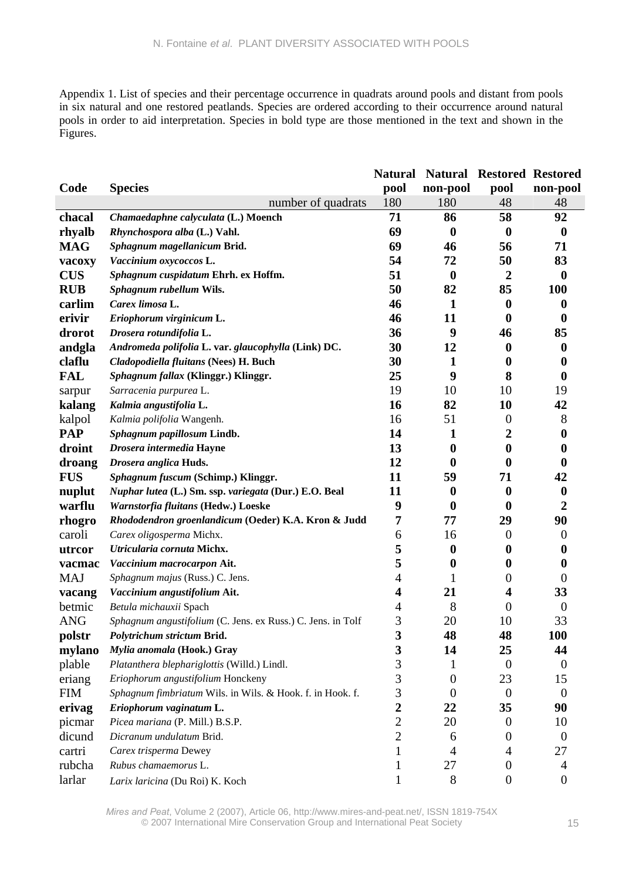Appendix 1. List of species and their percentage occurrence in quadrats around pools and distant from pools in six natural and one restored peatlands. Species are ordered according to their occurrence around natural pools in order to aid interpretation. Species in bold type are those mentioned in the text and shown in the Figures.

|            |                                                             | <b>Natural</b> |                  | <b>Natural Restored Restored</b> |                  |
|------------|-------------------------------------------------------------|----------------|------------------|----------------------------------|------------------|
| Code       | <b>Species</b>                                              | pool           | non-pool         | pool                             | non-pool         |
|            | number of quadrats                                          | 180            | 180              | 48                               | 48               |
| chacal     | Chamaedaphne calyculata (L.) Moench                         | 71             | 86               | 58                               | 92               |
| rhyalb     | Rhynchospora alba (L.) Vahl.                                | 69             | $\boldsymbol{0}$ | $\bf{0}$                         | $\boldsymbol{0}$ |
| <b>MAG</b> | Sphagnum magellanicum Brid.                                 | 69             | 46               | 56                               | 71               |
| vacoxy     | Vaccinium oxycoccos L.                                      | 54             | 72               | 50                               | 83               |
| <b>CUS</b> | Sphagnum cuspidatum Ehrh. ex Hoffm.                         | 51             | $\boldsymbol{0}$ | $\overline{2}$                   | $\boldsymbol{0}$ |
| <b>RUB</b> | Sphagnum rubellum Wils.                                     | 50             | 82               | 85                               | 100              |
| carlim     | Carex limosa L.                                             | 46             | $\mathbf{1}$     | $\boldsymbol{0}$                 | 0                |
| erivir     | Eriophorum virginicum L.                                    | 46             | 11               | $\boldsymbol{0}$                 | $\bf{0}$         |
| drorot     | Drosera rotundifolia L.                                     | 36             | 9                | 46                               | 85               |
| andgla     | Andromeda polifolia L. var. glaucophylla (Link) DC.         | 30             | 12               | $\bf{0}$                         | $\boldsymbol{0}$ |
| claflu     | Cladopodiella fluitans (Nees) H. Buch                       | 30             | 1                | $\boldsymbol{0}$                 | 0                |
| <b>FAL</b> | Sphagnum fallax (Klinggr.) Klinggr.                         | 25             | 9                | 8                                | $\boldsymbol{0}$ |
| sarpur     | Sarracenia purpurea L.                                      | 19             | 10               | 10                               | 19               |
| kalang     | Kalmia angustifolia L.                                      | 16             | 82               | 10                               | 42               |
| kalpol     | Kalmia polifolia Wangenh.                                   | 16             | 51               | $\theta$                         | 8                |
| <b>PAP</b> | Sphagnum papillosum Lindb.                                  | 14             | 1                | 2                                | $\bf{0}$         |
| droint     | Drosera intermedia Hayne                                    | 13             | $\boldsymbol{0}$ | $\boldsymbol{0}$                 | $\bf{0}$         |
| droang     | Drosera anglica Huds.                                       | 12             | $\bf{0}$         | $\mathbf{0}$                     | $\mathbf 0$      |
| <b>FUS</b> | Sphagnum fuscum (Schimp.) Klinggr.                          | 11             | 59               | 71                               | 42               |
| nuplut     | Nuphar lutea (L.) Sm. ssp. variegata (Dur.) E.O. Beal       | 11             | $\boldsymbol{0}$ | $\bf{0}$                         | $\boldsymbol{0}$ |
| warflu     | Warnstorfia fluitans (Hedw.) Loeske                         | 9              | $\boldsymbol{0}$ | $\bf{0}$                         | $\boldsymbol{2}$ |
| rhogro     | Rhododendron groenlandicum (Oeder) K.A. Kron & Judd         | 7              | 77               | 29                               | 90               |
| caroli     | Carex oligosperma Michx.                                    | 6              | 16               | $\overline{0}$                   | $\theta$         |
| utrcor     | Utricularia cornuta Michx.                                  | 5              | $\boldsymbol{0}$ | 0                                | 0                |
| vacmac     | Vaccinium macrocarpon Ait.                                  | 5              | $\bf{0}$         | $\bf{0}$                         | 0                |
| <b>MAJ</b> | Sphagnum majus (Russ.) C. Jens.                             | 4              |                  | 0                                | $\theta$         |
| vacang     | Vaccinium angustifolium Ait.                                | 4              | 21               | 4                                | 33               |
| betmic     | Betula michauxii Spach                                      | 4              | 8                | $\theta$                         | $\overline{0}$   |
| <b>ANG</b> | Sphagnum angustifolium (C. Jens. ex Russ.) C. Jens. in Tolf | 3              | 20               | 10                               | 33               |
| polstr     | Polytrichum strictum Brid.                                  | 3              | 48               | 48                               | <b>100</b>       |
| mylano     | Mylia anomala (Hook.) Gray                                  | 3              | 14               | 25                               | 44               |
| plable     | Platanthera blephariglottis (Willd.) Lindl.                 | 3              | 1                | $\boldsymbol{0}$                 | $\overline{0}$   |
| eriang     | Eriophorum angustifolium Honckeny                           | 3              | $\overline{0}$   | 23                               | 15               |
| <b>FIM</b> | Sphagnum fimbriatum Wils. in Wils. & Hook. f. in Hook. f.   | 3              | $\overline{0}$   | $\mathbf{0}$                     | $\overline{0}$   |
| erivag     | Eriophorum vaginatum L.                                     | $\overline{2}$ | 22               | 35                               | 90               |
| picmar     | Picea mariana (P. Mill.) B.S.P.                             | $\overline{c}$ | 20               | $\theta$                         | 10               |
| dicund     | Dicranum undulatum Brid.                                    | $\overline{2}$ | 6                | 0                                | $\theta$         |
| cartri     | Carex trisperma Dewey                                       |                | 4                | 4                                | 27               |
| rubcha     | Rubus chamaemorus L.                                        | 1              | 27               | $\theta$                         | 4                |
| larlar     | Larix laricina (Du Roi) K. Koch                             |                | 8                | $\boldsymbol{0}$                 | $\boldsymbol{0}$ |

*Mires and Peat*, Volume 2 (2007), Article 06, http://www.mires-and-peat.net/, ISSN 1819-754X © 2007 International Mire Conservation Group and International Peat Society 15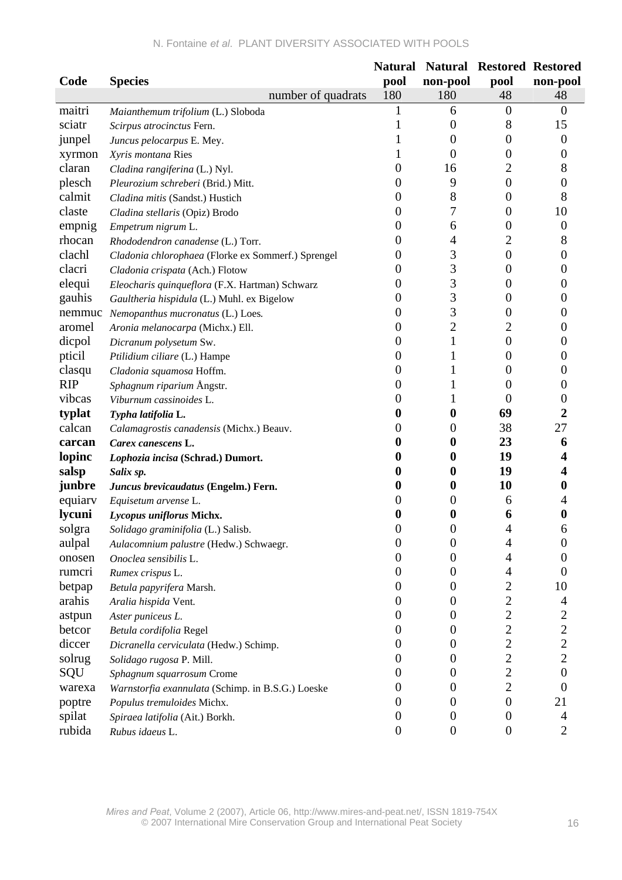|            |                                                    | <b>Natural</b>   |                  | <b>Natural Restored Restored</b> |                         |
|------------|----------------------------------------------------|------------------|------------------|----------------------------------|-------------------------|
| Code       | <b>Species</b>                                     | pool             | non-pool         | pool                             | non-pool                |
|            | number of quadrats                                 | 180              | 180              | 48                               | 48                      |
| maitri     | Maianthemum trifolium (L.) Sloboda                 |                  | 6                | $\theta$                         | $\theta$                |
| sciatr     | Scirpus atrocinctus Fern.                          |                  | $\overline{0}$   | 8                                | 15                      |
| junpel     | Juncus pelocarpus E. Mey.                          |                  | $\overline{0}$   | 0                                | $\boldsymbol{0}$        |
| xyrmon     | Xyris montana Ries                                 |                  | $\theta$         | 0                                | 0                       |
| claran     | Cladina rangiferina (L.) Nyl.                      | 0                | 16               | 2                                | 8                       |
| plesch     | Pleurozium schreberi (Brid.) Mitt.                 | 0                | 9                | $\boldsymbol{0}$                 | 0                       |
| calmit     | Cladina mitis (Sandst.) Hustich                    | 0                | 8                | 0                                | 8                       |
| claste     | Cladina stellaris (Opiz) Brodo                     | 0                | 7                | 0                                | 10                      |
| empnig     | Empetrum nigrum L.                                 | 0                | 6                | 0                                | $\theta$                |
| rhocan     | Rhododendron canadense (L.) Torr.                  | 0                | 4                | 2                                | 8                       |
| clachl     | Cladonia chlorophaea (Florke ex Sommerf.) Sprengel | 0                | 3                | $\boldsymbol{0}$                 | $\boldsymbol{0}$        |
| clacri     | Cladonia crispata (Ach.) Flotow                    | 0                | 3                | 0                                | $\Omega$                |
| elequi     | Eleocharis quinqueflora (F.X. Hartman) Schwarz     | 0                | 3                | 0                                | 0                       |
| gauhis     | Gaultheria hispidula (L.) Muhl. ex Bigelow         | 0                | 3                | 0                                | 0                       |
|            | nemmuc Nemopanthus mucronatus (L.) Loes.           | 0                | 3                | 0                                | $\theta$                |
| aromel     | Aronia melanocarpa (Michx.) Ell.                   | 0                | $\overline{c}$   | 2                                | 0                       |
| dicpol     | Dicranum polysetum Sw.                             | 0                | 1                | 0                                | 0                       |
| pticil     | Ptilidium ciliare (L.) Hampe                       | 0                | 1                | $\theta$                         | $\theta$                |
| clasqu     | Cladonia squamosa Hoffm.                           | 0                |                  | 0                                | $\theta$                |
| <b>RIP</b> | Sphagnum riparium Ångstr.                          | 0                |                  | 0                                | 0                       |
| vibcas     | Viburnum cassinoides L.                            |                  |                  | 0                                | 0                       |
| typlat     | Typha latifolia L.                                 | 0                | 0                | 69                               | 2                       |
| calcan     | Calamagrostis canadensis (Michx.) Beauv.           | 0                | 0                | 38                               | 27                      |
| carcan     | Carex canescens L.                                 |                  | 0                | 23                               | 6                       |
| lopinc     | Lophozia incisa (Schrad.) Dumort.                  |                  | 0                | 19                               | 4                       |
| salsp      | Salix sp.                                          |                  | 0                | 19                               |                         |
| junbre     | Juncus brevicaudatus (Engelm.) Fern.               |                  | 0                | 10                               | 0                       |
| equiary    | Equisetum arvense L.                               |                  | $\theta$         | 6                                |                         |
| lycuni     | Lycopus uniflorus Michx.                           |                  | 0                | 6                                | 0                       |
| solgra     | Solidago graminifolia (L.) Salisb.                 | 0                | 0                | Δ                                | 6                       |
| aulpal     | Aulacomnium palustre (Hedw.) Schwaegr.             | 0                | $\boldsymbol{0}$ | 4                                | $\overline{0}$          |
| onosen     | Onoclea sensibilis L.                              | 0                | $\overline{0}$   | 4                                | $\Omega$                |
| rumcri     | Rumex crispus L.                                   | 0                | $\overline{0}$   | 4                                | $\theta$                |
| betpap     | Betula papyrifera Marsh.                           | 0                | $\boldsymbol{0}$ | $\overline{2}$                   | 10                      |
| arahis     | Aralia hispida Vent.                               | 0                | 0                | $\overline{c}$                   | 4                       |
| astpun     | Aster puniceus L.                                  | 0                | $\theta$         | $\overline{c}$                   | 2                       |
| betcor     | Betula cordifolia Regel                            | 0                | $\boldsymbol{0}$ | $\overline{c}$                   | $\overline{\mathbf{c}}$ |
| diccer     | Dicranella cerviculata (Hedw.) Schimp.             | O                | $\overline{0}$   | $\overline{c}$                   | $\overline{c}$          |
| solrug     | Solidago rugosa P. Mill.                           | 0                | $\boldsymbol{0}$ | $\overline{c}$                   | $\overline{2}$          |
| SQU        | Sphagnum squarrosum Crome                          |                  | $\boldsymbol{0}$ | $\overline{c}$                   | $\boldsymbol{0}$        |
| warexa     | Warnstorfia exannulata (Schimp. in B.S.G.) Loeske  | O                | 0                | $\overline{c}$                   | $\boldsymbol{0}$        |
| poptre     | Populus tremuloides Michx.                         | O                | $\overline{0}$   | $\overline{0}$                   | 21                      |
| spilat     | Spiraea latifolia (Ait.) Borkh.                    | 0                | $\boldsymbol{0}$ | $\overline{0}$                   | 4                       |
| rubida     | Rubus idaeus L.                                    | $\boldsymbol{0}$ | $\boldsymbol{0}$ | $\boldsymbol{0}$                 | $\overline{c}$          |